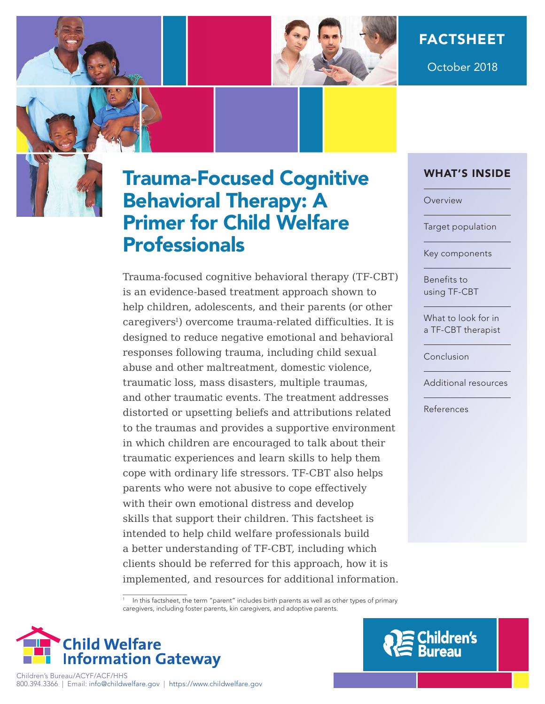

October 2018

# Trauma-Focused Cognitive Behavioral Therapy: A Primer for Child Welfare **Professionals**

Trauma-focused cognitive behavioral therapy (TF-CBT) is an evidence-based treatment approach shown to help children, adolescents, and their parents (or other caregivers<sup>1</sup>) overcome trauma-related difficulties. It is designed to reduce negative emotional and behavioral responses following trauma, including child sexual abuse and other maltreatment, domestic violence, traumatic loss, mass disasters, multiple traumas, and other traumatic events. The treatment addresses distorted or upsetting beliefs and attributions related to the traumas and provides a supportive environment in which children are encouraged to talk about their traumatic experiences and learn skills to help them cope with ordinary life stressors. TF-CBT also helps parents who were not abusive to cope effectively with their own emotional distress and develop skills that support their children. This factsheet is intended to help child welfare professionals build a better understanding of TF-CBT, including which clients should be referred for this approach, how it is implemented, and resources for additional information. WHAT'S INSIDE

[Overview](#page-1-0)

[Target population](#page-1-0)

[Key components](#page-2-0)

Benefits to [using TF-CBT](#page-3-0)

[What to look for in](#page-4-0)  a TF-CBT therapist

[Conclusion](#page-4-0)

[Additional resources](#page-4-0)

[References](#page-4-0)

<sup>1</sup> In this factsheet, the term "parent" includes birth parents as well as other types of primary caregivers, including foster parents, kin caregivers, and adoptive parents.





Children's Bureau/ACYF/ACF/HHS 800.394.3366 | Email: [info@childwelfare.gov](mailto:info@childwelfare.gov) | <https://www.childwelfare.gov>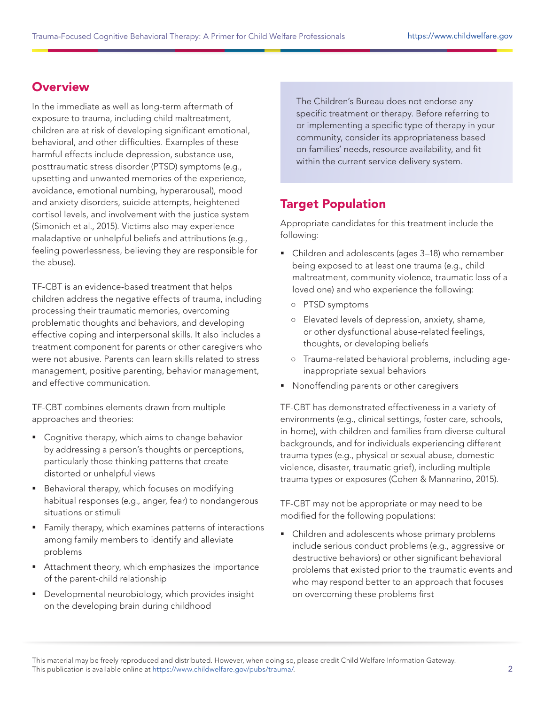### <span id="page-1-0"></span>**Overview**

In the immediate as well as long-term aftermath of exposure to trauma, including child maltreatment, children are at risk of developing significant emotional, behavioral, and other difficulties. Examples of these harmful effects include depression, substance use, posttraumatic stress disorder (PTSD) symptoms (e.g., upsetting and unwanted memories of the experience, avoidance, emotional numbing, hyperarousal), mood and anxiety disorders, suicide attempts, heightened cortisol levels, and involvement with the justice system (Simonich et al., 2015). Victims also may experience maladaptive or unhelpful beliefs and attributions (e.g., feeling powerlessness, believing they are responsible for the abuse).

TF-CBT is an evidence-based treatment that helps children address the negative effects of trauma, including processing their traumatic memories, overcoming problematic thoughts and behaviors, and developing effective coping and interpersonal skills. It also includes a treatment component for parents or other caregivers who were not abusive. Parents can learn skills related to stress management, positive parenting, behavior management, and effective communication.

TF-CBT combines elements drawn from multiple approaches and theories:

- Cognitive therapy, which aims to change behavior by addressing a person's thoughts or perceptions, particularly those thinking patterns that create distorted or unhelpful views
- **Behavioral therapy, which focuses on modifying** habitual responses (e.g., anger, fear) to nondangerous situations or stimuli
- **Family therapy, which examines patterns of interactions** among family members to identify and alleviate problems
- Attachment theory, which emphasizes the importance of the parent-child relationship
- Developmental neurobiology, which provides insight on the developing brain during childhood

The Children's Bureau does not endorse any specific treatment or therapy. Before referring to or implementing a specific type of therapy in your community, consider its appropriateness based on families' needs, resource availability, and fit within the current service delivery system.

#### Target Population

Appropriate candidates for this treatment include the following:

- Children and adolescents (ages 3–18) who remember being exposed to at least one trauma (e.g., child maltreatment, community violence, traumatic loss of a loved one) and who experience the following:
	- PTSD symptoms
	- Elevated levels of depression, anxiety, shame, or other dysfunctional abuse-related feelings, thoughts, or developing beliefs
	- Trauma-related behavioral problems, including ageinappropriate sexual behaviors
- **•** Nonoffending parents or other caregivers

TF-CBT has demonstrated effectiveness in a variety of environments (e.g., clinical settings, foster care, schools, in-home), with children and families from diverse cultural backgrounds, and for individuals experiencing different trauma types (e.g., physical or sexual abuse, domestic violence, disaster, traumatic grief), including multiple trauma types or exposures (Cohen & Mannarino, 2015).

TF-CBT may not be appropriate or may need to be modified for the following populations:

• Children and adolescents whose primary problems include serious conduct problems (e.g., aggressive or destructive behaviors) or other significant behavioral problems that existed prior to the traumatic events and who may respond better to an approach that focuses on overcoming these problems first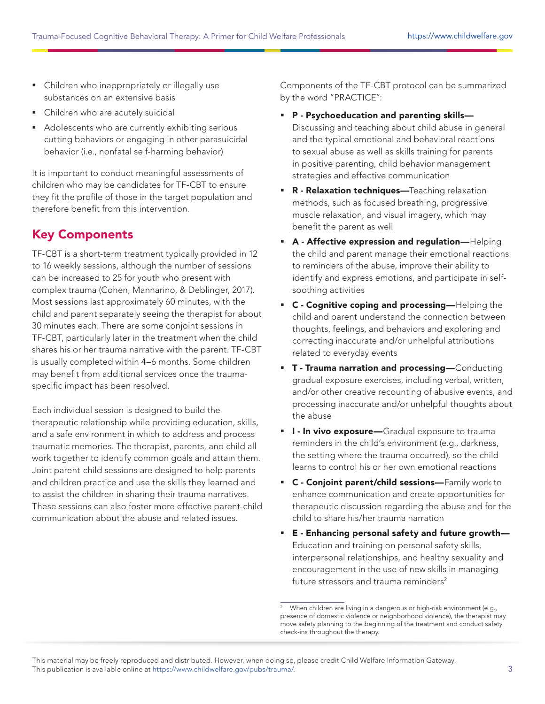- <span id="page-2-0"></span> Children who inappropriately or illegally use substances on an extensive basis
- **Children who are acutely suicidal**
- Adolescents who are currently exhibiting serious cutting behaviors or engaging in other parasuicidal behavior (i.e., nonfatal self-harming behavior)

It is important to conduct meaningful assessments of children who may be candidates for TF-CBT to ensure they fit the profile of those in the target population and therefore benefit from this intervention.

## Key Components

TF-CBT is a short-term treatment typically provided in 12 to 16 weekly sessions, although the number of sessions can be increased to 25 for youth who present with complex trauma (Cohen, Mannarino, & Deblinger, 2017). Most sessions last approximately 60 minutes, with the child and parent separately seeing the therapist for about 30 minutes each. There are some conjoint sessions in TF-CBT, particularly later in the treatment when the child shares his or her trauma narrative with the parent. TF-CBT is usually completed within 4–6 months. Some children may benefit from additional services once the traumaspecific impact has been resolved.

Each individual session is designed to build the therapeutic relationship while providing education, skills, and a safe environment in which to address and process traumatic memories. The therapist, parents, and child all work together to identify common goals and attain them. Joint parent-child sessions are designed to help parents and children practice and use the skills they learned and to assist the children in sharing their trauma narratives. These sessions can also foster more effective parent-child communication about the abuse and related issues.

Components of the TF-CBT protocol can be summarized by the word "PRACTICE":

- P Psychoeducation and parenting skills— Discussing and teaching about child abuse in general and the typical emotional and behavioral reactions to sexual abuse as well as skills training for parents in positive parenting, child behavior management strategies and effective communication
- **R** Relaxation techniques-Teaching relaxation methods, such as focused breathing, progressive muscle relaxation, and visual imagery, which may benefit the parent as well
- **A** Affective expression and regulation-Helping the child and parent manage their emotional reactions to reminders of the abuse, improve their ability to identify and express emotions, and participate in selfsoothing activities
- **C** Cognitive coping and processing-Helping the child and parent understand the connection between thoughts, feelings, and behaviors and exploring and correcting inaccurate and/or unhelpful attributions related to everyday events
- **T** Trauma narration and processing-Conducting gradual exposure exercises, including verbal, written, and/or other creative recounting of abusive events, and processing inaccurate and/or unhelpful thoughts about the abuse
- **I In vivo exposure**—Gradual exposure to trauma reminders in the child's environment (e.g., darkness, the setting where the trauma occurred), so the child learns to control his or her own emotional reactions
- **C** Conjoint parent/child sessions-Family work to enhance communication and create opportunities for therapeutic discussion regarding the abuse and for the child to share his/her trauma narration
- E Enhancing personal safety and future growth— Education and training on personal safety skills, interpersonal relationships, and healthy sexuality and encouragement in the use of new skills in managing future stressors and trauma reminders<sup>2</sup>

When children are living in a dangerous or high-risk environment (e.g., presence of domestic violence or neighborhood violence), the therapist may move safety planning to the beginning of the treatment and conduct safety check-ins throughout the therapy.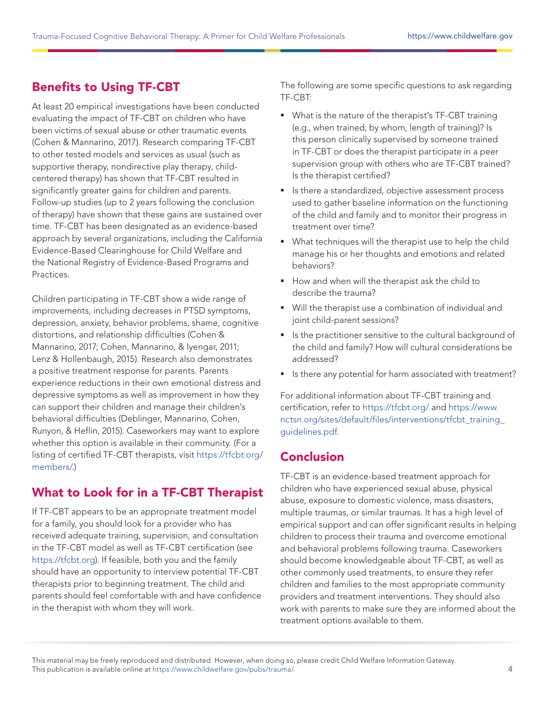## <span id="page-3-0"></span>Benefits to Using TF-CBT

At least 20 empirical investigations have been conducted evaluating the impact of TF-CBT on children who have been victims of sexual abuse or other traumatic events (Cohen & Mannarino, 2017). Research comparing TF-CBT to other tested models and services as usual (such as supportive therapy, nondirective play therapy, childcentered therapy) has shown that TF-CBT resulted in significantly greater gains for children and parents. Follow-up studies (up to 2 years following the conclusion of therapy) have shown that these gains are sustained over time. TF-CBT has been designated as an evidence-based approach by several organizations, including the California Evidence-Based Clearinghouse for Child Welfare and the National Registry of Evidence-Based Programs and Practices.

Children participating in TF-CBT show a wide range of improvements, including decreases in PTSD symptoms, depression, anxiety, behavior problems, shame, cognitive distortions, and relationship difficulties (Cohen & Mannarino, 2017; Cohen, Mannarino, & Iyengar, 2011; Lenz & Hollenbaugh, 2015). Research also demonstrates a positive treatment response for parents. Parents experience reductions in their own emotional distress and depressive symptoms as well as improvement in how they can support their children and manage their children's behavioral difficulties (Deblinger, Mannarino, Cohen, Runyon, & Heflin, 2015). Caseworkers may want to explore whether this option is available in their community. (For a listing of certified TF-CBT therapists, visit [https://tfcbt.org/](https://tfcbt.org/members/) [members/.](https://tfcbt.org/members/))

## What to Look for in a TF-CBT Therapist

If TF-CBT appears to be an appropriate treatment model for a family, you should look for a provider who has received adequate training, supervision, and consultation in the TF-CBT model as well as TF-CBT certification (see [https://tfcbt.org\)](https://tfcbt.org). If feasible, both you and the family should have an opportunity to interview potential TF-CBT therapists prior to beginning treatment. The child and parents should feel comfortable with and have confidence in the therapist with whom they will work.

The following are some specific questions to ask regarding TF-CBT:

- What is the nature of the therapist's TF-CBT training (e.g., when trained, by whom, length of training)? Is this person clinically supervised by someone trained in TF-CBT or does the therapist participate in a peer supervision group with others who are TF-CBT trained? Is the therapist certified?
- **IF** Is there a standardized, objective assessment process used to gather baseline information on the functioning of the child and family and to monitor their progress in treatment over time?
- What techniques will the therapist use to help the child manage his or her thoughts and emotions and related behaviors?
- How and when will the therapist ask the child to describe the trauma?
- Will the therapist use a combination of individual and joint child-parent sessions?
- Is the practitioner sensitive to the cultural background of the child and family? How will cultural considerations be addressed?
- Is there any potential for harm associated with treatment?

For additional information about TF-CBT training and certification, refer to <https://tfcbt.org/> and [https://www.](https://www.nctsn.org/sites/default/files/interventions/tfcbt_training_guidelines.pdf) [nctsn.org/sites/default/files/interventions/tfcbt\\_training\\_](https://www.nctsn.org/sites/default/files/interventions/tfcbt_training_guidelines.pdf) [guidelines.pdf.](https://www.nctsn.org/sites/default/files/interventions/tfcbt_training_guidelines.pdf)

#### Conclusion

TF-CBT is an evidence-based treatment approach for children who have experienced sexual abuse, physical abuse, exposure to domestic violence, mass disasters, multiple traumas, or similar traumas. It has a high level of empirical support and can offer significant results in helping children to process their trauma and overcome emotional and behavioral problems following trauma. Caseworkers should become knowledgeable about TF-CBT, as well as other commonly used treatments, to ensure they refer children and families to the most appropriate community providers and treatment interventions. They should also work with parents to make sure they are informed about the treatment options available to them.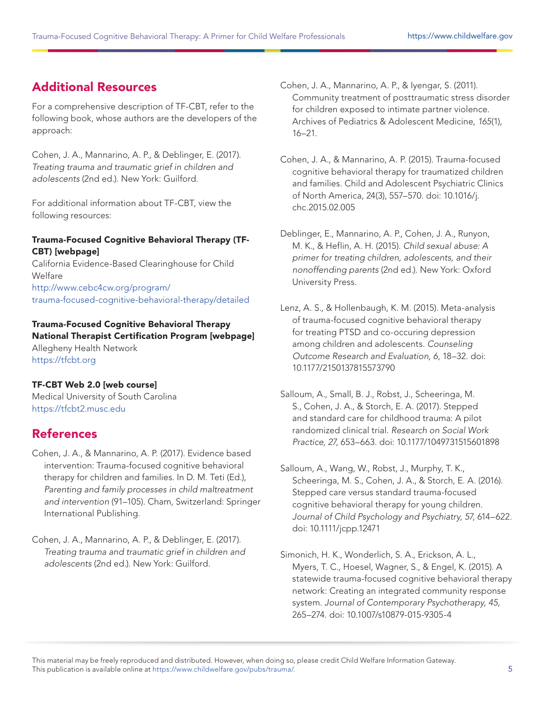#### <span id="page-4-0"></span>Additional Resources

For a comprehensive description of TF-CBT, refer to the following book, whose authors are the developers of the approach:

Cohen, J. A., Mannarino, A. P., & Deblinger, E. (2017). Treating trauma and traumatic grief in children and adolescents (2nd ed.). New York: Guilford.

For additional information about TF-CBT, view the following resources:

#### Trauma-Focused Cognitive Behavioral Therapy (TF-CBT) [webpage]

California Evidence-Based Clearinghouse for Child Welfare [http://www.cebc4cw.org/program/](http://www.cebc4cw.org/program/trauma-focused-cognitive-behavioral-therapy/detailed) [trauma-focused-cognitive-behavioral-therapy/detailed](http://www.cebc4cw.org/program/trauma-focused-cognitive-behavioral-therapy/detailed)

#### Trauma-Focused Cognitive Behavioral Therapy National Therapist Certification Program [webpage] Allegheny Health Network <https://tfcbt.org>

#### TF-CBT Web 2.0 [web course]

Medical University of South Carolina <https://tfcbt2.musc.edu>

#### **References**

- Cohen, J. A., & Mannarino, A. P. (2017). Evidence based intervention: Trauma-focused cognitive behavioral therapy for children and families. In D. M. Teti (Ed.), Parenting and family processes in child maltreatment and intervention (91–105). Cham, Switzerland: Springer International Publishing.
- Cohen, J. A., Mannarino, A. P., & Deblinger, E. (2017). Treating trauma and traumatic grief in children and adolescents (2nd ed.). New York: Guilford.

Cohen, J. A., Mannarino, A. P., & Iyengar, S. (2011). Community treatment of posttraumatic stress disorder for children exposed to intimate partner violence. Archives of Pediatrics & Adolescent Medicine, 165(1), 16–21.

Cohen, J. A., & Mannarino, A. P. (2015). Trauma-focused cognitive behavioral therapy for traumatized children and families. Child and Adolescent Psychiatric Clinics of North America, 24(3), 557–570. doi: 10.1016/j. chc.2015.02.005

Deblinger, E., Mannarino, A. P., Cohen, J. A., Runyon, M. K., & Heflin, A. H. (2015). Child sexual abuse: A primer for treating children, adolescents, and their nonoffending parents (2nd ed.). New York: Oxford University Press.

Lenz, A. S., & Hollenbaugh, K. M. (2015). Meta-analysis of trauma-focused cognitive behavioral therapy for treating PTSD and co-occuring depression among children and adolescents. Counseling Outcome Research and Evaluation, 6, 18–32. doi: 10.1177/2150137815573790

Salloum, A., Small, B. J., Robst, J., Scheeringa, M. S., Cohen, J. A., & Storch, E. A. (2017). Stepped and standard care for childhood trauma: A pilot randomized clinical trial. Research on Social Work Practice, 27, 653–663. doi: 10.1177/1049731515601898

- Salloum, A., Wang, W., Robst, J., Murphy, T. K., Scheeringa, M. S., Cohen, J. A., & Storch, E. A. (2016). Stepped care versus standard trauma-focused cognitive behavioral therapy for young children. Journal of Child Psychology and Psychiatry, 57, 614–622. doi: 10.1111/jcpp.12471
- Simonich, H. K., Wonderlich, S. A., Erickson, A. L., Myers, T. C., Hoesel, Wagner, S., & Engel, K. (2015). A statewide trauma-focused cognitive behavioral therapy network: Creating an integrated community response system. Journal of Contemporary Psychotherapy, 45, 265–274. doi: 10.1007/s10879-015-9305-4